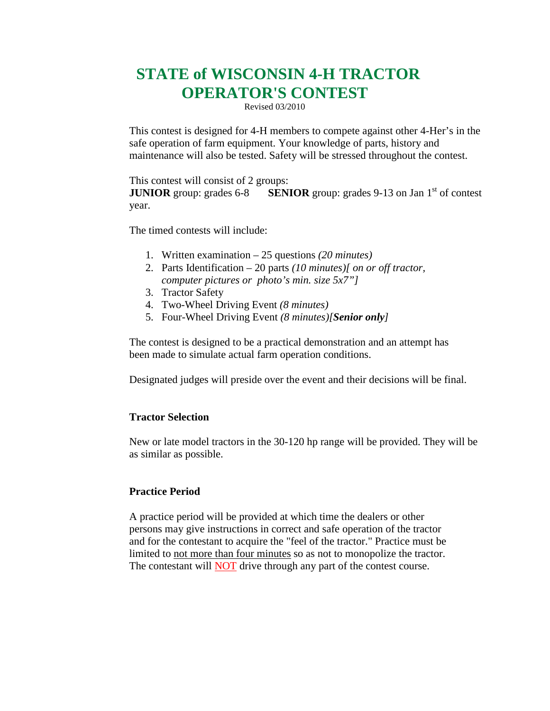# **STATE of WISCONSIN 4-H TRACTOR OPERATOR'S CONTEST**

Revised 03/2010

This contest is designed for 4-H members to compete against other 4-Her's in the safe operation of farm equipment. Your knowledge of parts, history and maintenance will also be tested. Safety will be stressed throughout the contest.

This contest will consist of 2 groups:

**JUNIOR** group: grades 6-8 **SENIOR** group: grades 9-13 on Jan 1<sup>st</sup> of contest year.

The timed contests will include:

- 1. Written examination 25 questions *(20 minutes)*
- 2. Parts Identification 20 parts *(10 minutes)[ on or off tractor, computer pictures or photo's min. size 5x7"]*
- 3. Tractor Safety
- 4. Two-Wheel Driving Event *(8 minutes)*
- 5. Four-Wheel Driving Event *(8 minutes)[Senior only]*

The contest is designed to be a practical demonstration and an attempt has been made to simulate actual farm operation conditions.

Designated judges will preside over the event and their decisions will be final.

### **Tractor Selection**

New or late model tractors in the 30-120 hp range will be provided. They will be as similar as possible.

### **Practice Period**

A practice period will be provided at which time the dealers or other persons may give instructions in correct and safe operation of the tractor and for the contestant to acquire the "feel of the tractor." Practice must be limited to not more than four minutes so as not to monopolize the tractor. The contestant will **NOT** drive through any part of the contest course.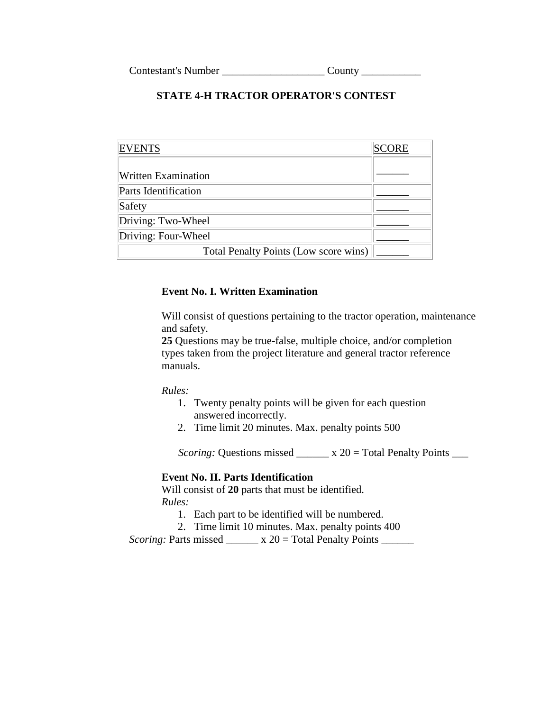### **STATE 4-H TRACTOR OPERATOR'S CONTEST**

| <b>ENTS</b>                           |  |
|---------------------------------------|--|
|                                       |  |
| <b>Written Examination</b>            |  |
| Parts Identification                  |  |
| Safety                                |  |
| Driving: Two-Wheel                    |  |
| Driving: Four-Wheel                   |  |
| Total Penalty Points (Low score wins) |  |

### **Event No. I. Written Examination**

Will consist of questions pertaining to the tractor operation, maintenance and safety.

**25** Questions may be true-false, multiple choice, and/or completion types taken from the project literature and general tractor reference manuals.

*Rules:*

- 1. Twenty penalty points will be given for each question answered incorrectly.
- 2. Time limit 20 minutes. Max. penalty points 500

*Scoring:* Questions missed \_\_\_\_\_\_ x 20 = Total Penalty Points \_\_\_

#### **Event No. II. Parts Identification**

Will consist of **20** parts that must be identified. *Rules:*

1. Each part to be identified will be numbered.

2. Time limit 10 minutes. Max. penalty points 400

*Scoring:* Parts missed \_\_\_\_\_\_ x 20 = Total Penalty Points \_\_\_\_\_\_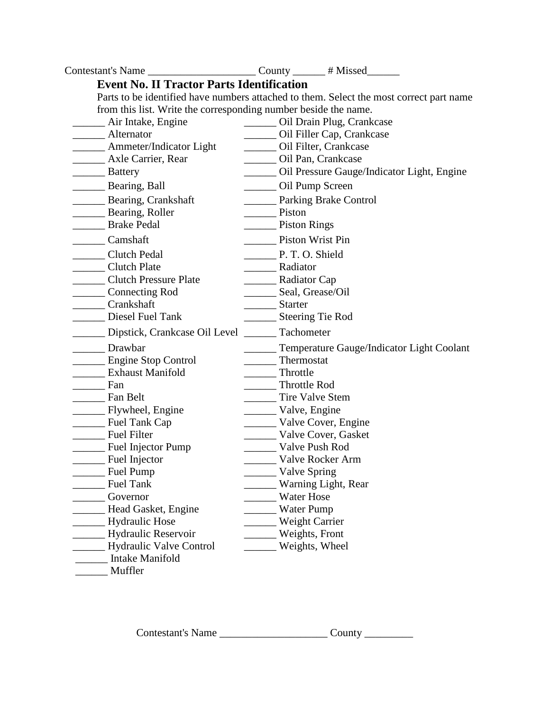| Contestant's Name ______________________________County ________ # Missed________ |                  |                                                                                         |
|----------------------------------------------------------------------------------|------------------|-----------------------------------------------------------------------------------------|
| <b>Event No. II Tractor Parts Identification</b>                                 |                  |                                                                                         |
|                                                                                  |                  | Parts to be identified have numbers attached to them. Select the most correct part name |
| from this list. Write the corresponding number beside the name.                  |                  |                                                                                         |
| __ Air Intake, Engine                                                            |                  | Oil Drain Plug, Crankcase                                                               |
| Alternator                                                                       |                  | Oil Filler Cap, Crankcase                                                               |
| Ammeter/Indicator Light                                                          |                  | Oil Filter, Crankcase                                                                   |
| Axle Carrier, Rear                                                               |                  | _______ Oil Pan, Crankcase                                                              |
| Battery                                                                          |                  | Oil Pressure Gauge/Indicator Light, Engine                                              |
| Bearing, Ball                                                                    |                  | Oil Pump Screen                                                                         |
| Bearing, Crankshaft                                                              |                  | <b>Example 2</b> Parking Brake Control                                                  |
| Bearing, Roller                                                                  | Piston           |                                                                                         |
| Brake Pedal                                                                      | Piston Rings     |                                                                                         |
| Camshaft                                                                         |                  | <b>Piston Wrist Pin</b>                                                                 |
| Clutch Pedal                                                                     | P. T. O. Shield  |                                                                                         |
| <b>Clutch Plate</b>                                                              | Radiator         |                                                                                         |
| Clutch Pressure Plate                                                            | Radiator Cap     |                                                                                         |
| Connecting Rod                                                                   | Seal, Grease/Oil |                                                                                         |
| Crankshaft                                                                       | Starter          |                                                                                         |
| Diesel Fuel Tank                                                                 |                  | Steering Tie Rod                                                                        |
| Dipstick, Crankcase Oil Level                                                    | Tachometer       |                                                                                         |
| Drawbar                                                                          |                  | Temperature Gauge/Indicator Light Coolant                                               |
| Engine Stop Control                                                              |                  | Thermostat                                                                              |
| <b>Exhaust Manifold</b>                                                          | Throttle         |                                                                                         |
| $\frac{1}{2}$ Fan                                                                | Throttle Rod     |                                                                                         |
| Fan Belt                                                                         |                  | Tire Valve Stem                                                                         |
| Flywheel, Engine                                                                 | Valve, Engine    |                                                                                         |
| <b>Example 2</b> Fuel Tank Cap                                                   |                  | Valve Cover, Engine                                                                     |
| Fuel Filter                                                                      |                  | Valve Cover, Gasket                                                                     |
| Fuel Injector Pump                                                               |                  | Valve Push Rod                                                                          |
| Fuel Injector                                                                    |                  | Valve Rocker Arm                                                                        |
| Fuel Pump                                                                        |                  | Valve Spring                                                                            |
| <b>Fuel Tank</b>                                                                 |                  | Warning Light, Rear                                                                     |
| Governor                                                                         |                  | Water Hose                                                                              |
| Head Gasket, Engine                                                              |                  | <b>Water Pump</b>                                                                       |
| <b>Hydraulic Hose</b>                                                            |                  | Weight Carrier                                                                          |
| Hydraulic Reservoir                                                              |                  | Weights, Front                                                                          |
| <b>Hydraulic Valve Control</b>                                                   |                  | Weights, Wheel                                                                          |
| Intake Manifold                                                                  |                  |                                                                                         |
| Muffler                                                                          |                  |                                                                                         |

Contestant's Name \_\_\_\_\_\_\_\_\_\_\_\_\_\_\_\_\_\_\_\_ County \_\_\_\_\_\_\_\_\_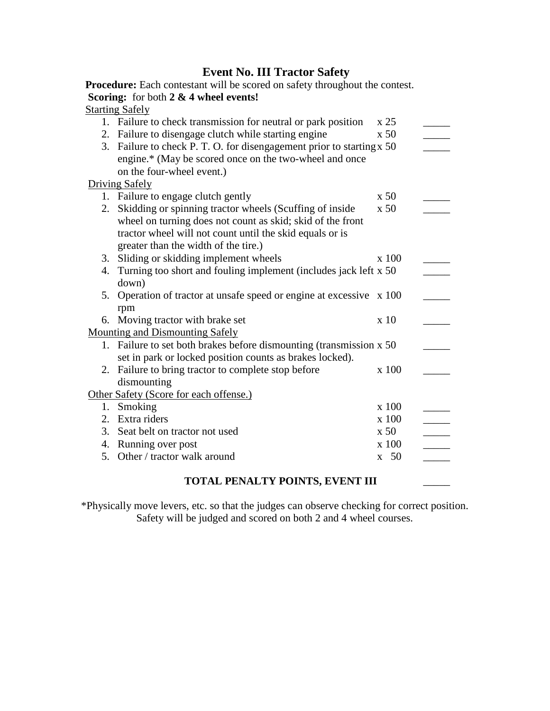### **Event No. III Tractor Safety**

**Procedure:** Each contestant will be scored on safety throughout the contest. **Scoring:** for both **2 & 4 wheel events!**

### Starting Safely 1. Failure to check transmission for neutral or park position  $\times 25$ 2. Failure to disengage clutch while starting engine  $x 50$ 3. Failure to check P. T. O. for disengagement prior to starting x 50 \_\_\_\_\_\_ engine.\* (May be scored once on the two-wheel and once on the four-wheel event.) Driving Safely 1. Failure to engage clutch gently  $x 50$ 2. Skidding or spinning tractor wheels (Scuffing of inside wheel on turning does not count as skid; skid of the front tractor wheel will not count until the skid equals or is greater than the width of the tire.)  $x 50$ 3. Sliding or skidding implement wheels  $x 100$ 4. Turning too short and fouling implement (includes jack left x 50 \_\_\_\_\_ down) 5. Operation of tractor at unsafe speed or engine at excessive x 100 \_\_\_\_\_ rpm 6. Moving tractor with brake set  $x 10$ Mounting and Dismounting Safely 1. Failure to set both brakes before dismounting (transmission x 50 \_\_\_\_\_ set in park or locked position counts as brakes locked). 2. Failure to bring tractor to complete stop before dismounting  $x$  100 Other Safety (Score for each offense.) 1. Smoking  $x 100$ 2. Extra riders x 100 3. Seat belt on tractor not used x 50 4. Running over post x 100 x 100  $\frac{1}{x}$ 5. Other / tractor walk around  $\frac{x}{50}$ **TOTAL PENALTY POINTS, EVENT III** \_\_\_\_\_

\*Physically move levers, etc. so that the judges can observe checking for correct position. Safety will be judged and scored on both 2 and 4 wheel courses.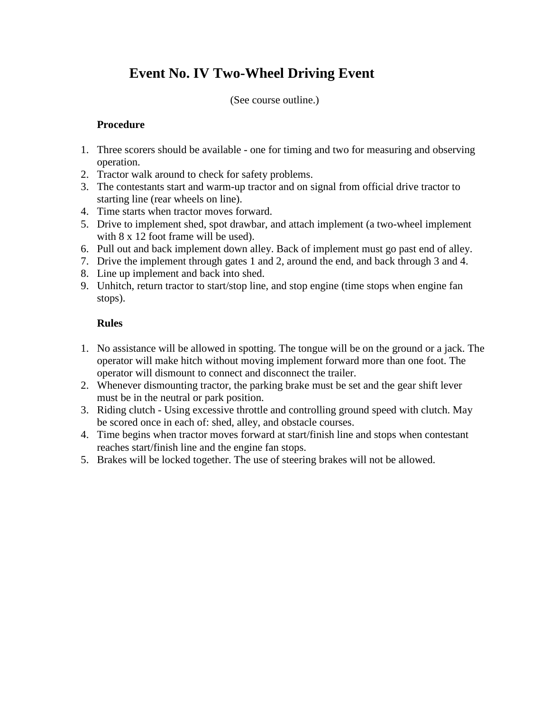# **Event No. IV Two-Wheel Driving Event**

(See course outline.)

### **Procedure**

- 1. Three scorers should be available one for timing and two for measuring and observing operation.
- 2. Tractor walk around to check for safety problems.
- 3. The contestants start and warm-up tractor and on signal from official drive tractor to starting line (rear wheels on line).
- 4. Time starts when tractor moves forward.
- 5. Drive to implement shed, spot drawbar, and attach implement (a two-wheel implement with 8 x 12 foot frame will be used).
- 6. Pull out and back implement down alley. Back of implement must go past end of alley.
- 7. Drive the implement through gates 1 and 2, around the end, and back through 3 and 4.
- 8. Line up implement and back into shed.
- 9. Unhitch, return tractor to start/stop line, and stop engine (time stops when engine fan stops).

### **Rules**

- 1. No assistance will be allowed in spotting. The tongue will be on the ground or a jack. The operator will make hitch without moving implement forward more than one foot. The operator will dismount to connect and disconnect the trailer.
- 2. Whenever dismounting tractor, the parking brake must be set and the gear shift lever must be in the neutral or park position.
- 3. Riding clutch Using excessive throttle and controlling ground speed with clutch. May be scored once in each of: shed, alley, and obstacle courses.
- 4. Time begins when tractor moves forward at start/finish line and stops when contestant reaches start/finish line and the engine fan stops.
- 5. Brakes will be locked together. The use of steering brakes will not be allowed.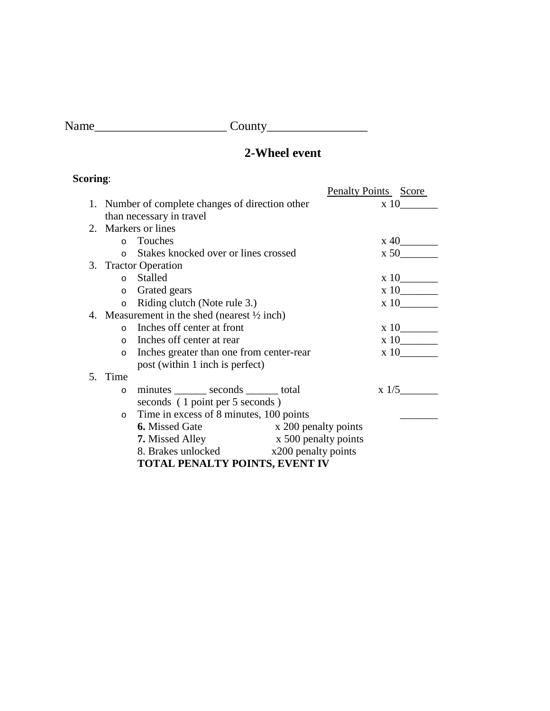Name\_\_\_\_\_\_\_\_\_\_\_\_\_\_\_\_\_\_\_\_\_ County\_\_\_\_\_\_\_\_\_\_\_\_\_\_\_\_

## **2-Wheel event**

## **Scoring**:

| o                                                       |                                               |  | <b>Penalty Points</b> Score  |
|---------------------------------------------------------|-----------------------------------------------|--|------------------------------|
| 1. Number of complete changes of direction other        |                                               |  | $\boldsymbol{\mathrm{x}}$ 10 |
|                                                         | than necessary in travel                      |  |                              |
|                                                         | 2. Markers or lines                           |  |                              |
|                                                         | o Touches                                     |  | $x\ 40$                      |
| $\Omega$                                                | Stakes knocked over or lines crossed          |  | x 50                         |
|                                                         | 3. Tractor Operation                          |  |                              |
|                                                         | o Stalled                                     |  | x 10                         |
| $\circ$                                                 | Grated gears                                  |  | x 10                         |
| $\circ$                                                 | Riding clutch (Note rule 3.)                  |  | x 10                         |
| 4. Measurement in the shed (nearest $\frac{1}{2}$ inch) |                                               |  |                              |
|                                                         | o Inches off center at front                  |  | x 10                         |
|                                                         | o Inches off center at rear                   |  | x 10                         |
| $\circ$                                                 | Inches greater than one from center-rear      |  | $\boldsymbol{\mathrm{x}}$ 10 |
|                                                         | post (within 1 inch is perfect)               |  |                              |
| 5. Time                                                 |                                               |  |                              |
| $\circ$                                                 | minutes ________ seconds _______ total        |  | $x \frac{1}{5}$              |
|                                                         | seconds (1 point per 5 seconds)               |  |                              |
| $\circ$                                                 | Time in excess of 8 minutes, 100 points       |  |                              |
|                                                         | <b>6.</b> Missed Gate<br>x 200 penalty points |  |                              |
|                                                         | <b>7.</b> Missed Alley x 500 penalty points   |  |                              |
|                                                         | 8. Brakes unlocked x200 penalty points        |  |                              |
|                                                         | TOTAL PENALTY POINTS, EVENT IV                |  |                              |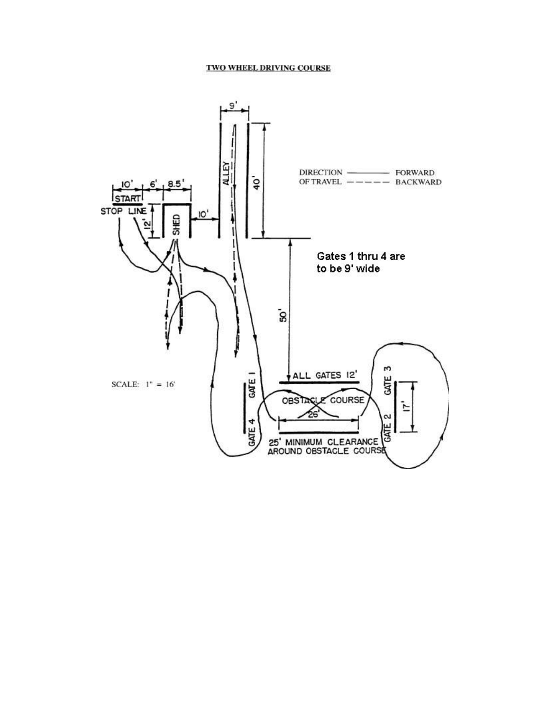#### TWO WHEEL DRIVING COURSE

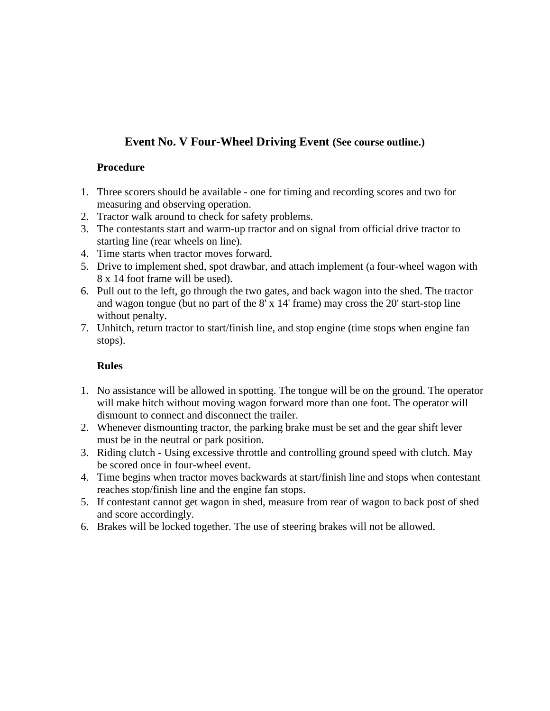## **Event No. V Four-Wheel Driving Event (See course outline.)**

### **Procedure**

- 1. Three scorers should be available one for timing and recording scores and two for measuring and observing operation.
- 2. Tractor walk around to check for safety problems.
- 3. The contestants start and warm-up tractor and on signal from official drive tractor to starting line (rear wheels on line).
- 4. Time starts when tractor moves forward.
- 5. Drive to implement shed, spot drawbar, and attach implement (a four-wheel wagon with 8 x 14 foot frame will be used).
- 6. Pull out to the left, go through the two gates, and back wagon into the shed. The tractor and wagon tongue (but no part of the 8' x 14' frame) may cross the 20' start-stop line without penalty.
- 7. Unhitch, return tractor to start/finish line, and stop engine (time stops when engine fan stops).

### **Rules**

- 1. No assistance will be allowed in spotting. The tongue will be on the ground. The operator will make hitch without moving wagon forward more than one foot. The operator will dismount to connect and disconnect the trailer.
- 2. Whenever dismounting tractor, the parking brake must be set and the gear shift lever must be in the neutral or park position.
- 3. Riding clutch Using excessive throttle and controlling ground speed with clutch. May be scored once in four-wheel event.
- 4. Time begins when tractor moves backwards at start/finish line and stops when contestant reaches stop/finish line and the engine fan stops.
- 5. If contestant cannot get wagon in shed, measure from rear of wagon to back post of shed and score accordingly.
- 6. Brakes will be locked together. The use of steering brakes will not be allowed.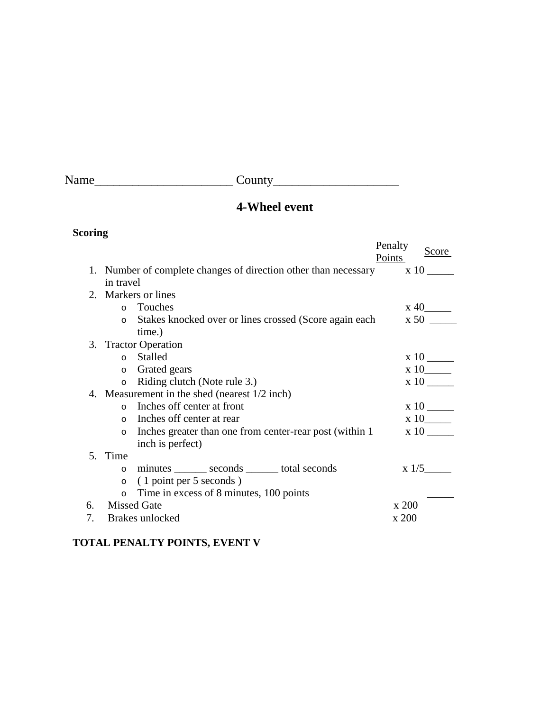Name\_\_\_\_\_\_\_\_\_\_\_\_\_\_\_\_\_\_\_\_\_\_ County\_\_\_\_\_\_\_\_\_\_\_\_\_\_\_\_\_\_\_\_

## **4-Wheel event**

## **Scoring**

|    |                 |                                                                      | Penalty<br>Score<br>Points   |  |
|----|-----------------|----------------------------------------------------------------------|------------------------------|--|
|    |                 | 1. Number of complete changes of direction other than necessary x 10 |                              |  |
|    | in travel       |                                                                      |                              |  |
|    |                 | 2. Markers or lines                                                  |                              |  |
|    |                 | o Touches                                                            | $x\ 40$ <sub>______</sub>    |  |
|    | $\circ$         | Stakes knocked over or lines crossed (Score again each               | $\boldsymbol{\mathrm{x}} 50$ |  |
|    |                 | time.)                                                               |                              |  |
|    |                 | 3. Tractor Operation                                                 |                              |  |
|    |                 | o Stalled                                                            |                              |  |
|    | $\circ$         | Grated gears                                                         | $x10$ <sub>_____</sub>       |  |
|    | $\circ$         | Riding clutch (Note rule 3.)                                         | x 10                         |  |
|    |                 | 4. Measurement in the shed (nearest 1/2 inch)                        |                              |  |
|    | $\Omega$        | Inches off center at front                                           |                              |  |
|    |                 | o Inches off center at rear                                          | $x 10$ <sub>_____</sub>      |  |
|    | $\circ$         | Inches greater than one from center-rear post (within 1)             | $x10$ —                      |  |
|    |                 | inch is perfect)                                                     |                              |  |
|    | 5. Time         |                                                                      |                              |  |
|    | $\circ$         | minutes _______ seconds ______ total seconds                         | $x \frac{1}{5}$              |  |
|    | $\circ$         | (1 point per 5 seconds)                                              |                              |  |
|    | $\circ$         | Time in excess of 8 minutes, 100 points                              |                              |  |
| 6. |                 | <b>Missed Gate</b>                                                   | x 200                        |  |
| 7. | Brakes unlocked |                                                                      | x 200                        |  |

## **TOTAL PENALTY POINTS, EVENT V**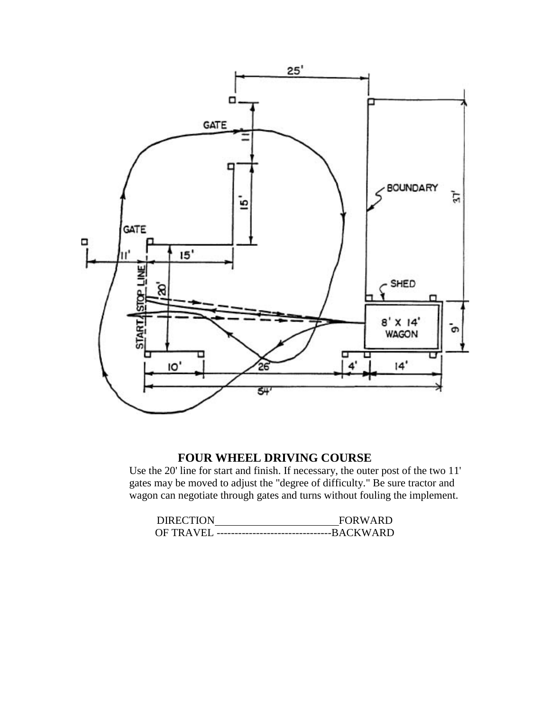

### **FOUR WHEEL DRIVING COURSE**

Use the 20' line for start and finish. If necessary, the outer post of the two 11' gates may be moved to adjust the "degree of difficulty." Be sure tractor and wagon can negotiate through gates and turns without fouling the implement.

| <b>DIRECTION</b> | <b>FORWARD</b> |
|------------------|----------------|
|                  |                |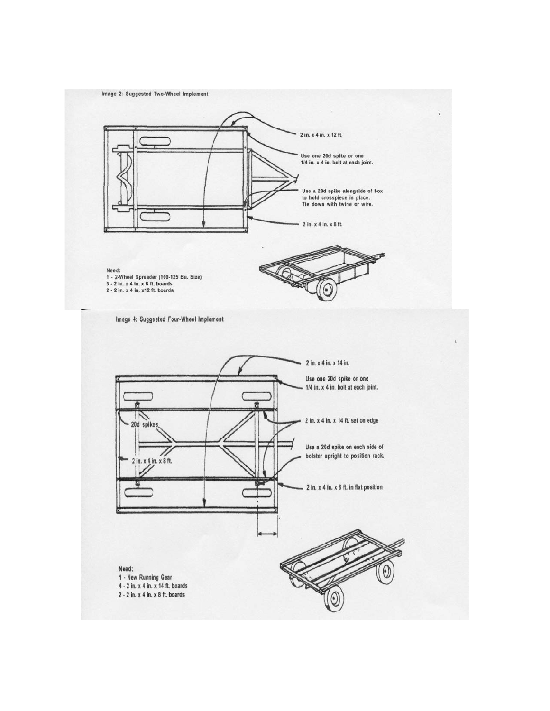Image 2: Suggested Two-Wheel Implement